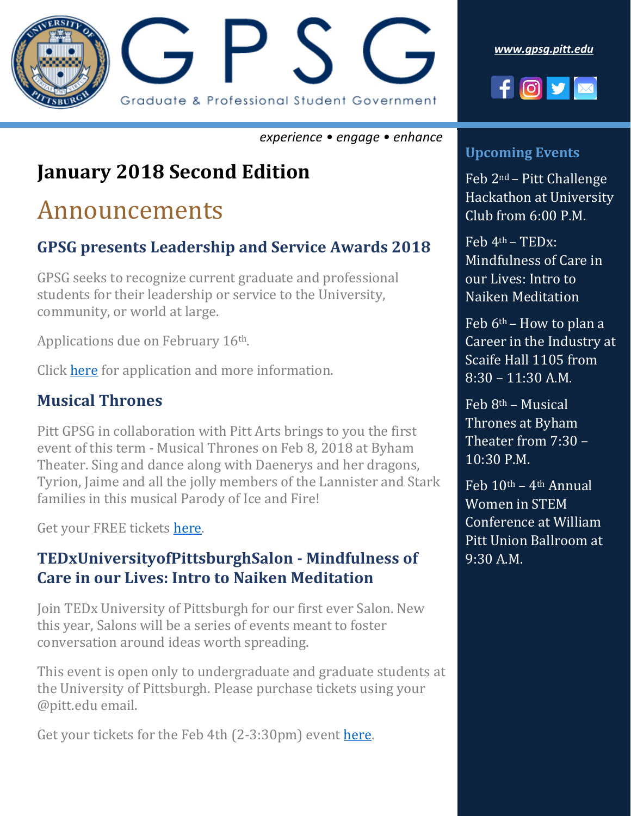

*[www.gpsg.pitt.edu](http://www.gpsg.pitt.edu/)*



#### *experience • engage • enhance*

# **January 2018 Second Edition**

# Announcements

### **GPSG presents Leadership and Service Awards 2018**

GPSG seeks to recognize current graduate and professional students for their leadership or service to the University, community, or world at large.

Applications due on February 16th.

Click [here](http://gpsg.pitt.edu/) for application and more information.

### **Musical Thrones**

Pitt GPSG in collaboration with Pitt Arts brings to you the first event of this term - Musical Thrones on Feb 8, 2018 at Byham Theater. Sing and dance along with Daenerys and her dragons, Tyrion, Jaime and all the jolly members of the Lannister and Stark families in this musical Parody of Ice and Fire!

Get your FREE tickets [here.](Musical-Thrones-GPSG.eventbrite.com)

### **TEDxUniversityofPittsburghSalon - Mindfulness of Care in our Lives: Intro to Naiken Meditation**

Join TEDx University of Pittsburgh for our first ever Salon. New this year, Salons will be a series of events meant to foster conversation around ideas worth spreading.

This event is open only to undergraduate and graduate students at the University of Pittsburgh. Please purchase tickets using your @pitt.edu email.

Get your tickets for the Feb 4th (2-3:30pm) event [here.](https://na01.safelinks.protection.outlook.com/?url=https%3A%2F%2Fwww.eventbrite.com%2Fe%2Ftedxuniversityofpittsburghsalon-mindfulness-of-care-in-our-lives-tickets-42593095094&data=01%7C01%7Ckenrick.f%40pitt.edu%7Ccb5f3577712546f7683308d5672d8f13%7C9ef9f489e0a04eeb87cc3a526112fd0d%7C1&sdata=Gr2oE%2BhSRQ3e4cXwry2fR7%2Bx4VI0tIbhGurm1nxommA%3D&reserved=0)

### **Upcoming Events**

Feb 2nd – Pitt Challenge Hackathon at University Club from 6:00 P.M.

 $Feb$  4<sup>th</sup> – TED<sub>x</sub>: Mindfulness of Care in our Lives: Intro to Naiken Meditation

Feb  $6<sup>th</sup>$  – How to plan a Career in the Industry at Scaife Hall 1105 from  $8:30 - 11:30$  A.M.

 $Feb 8<sup>th</sup> - Musical$ Thrones at Byham Theater from 7:30 – 10:30 P.M.

Feb  $10<sup>th</sup> - 4<sup>th</sup>$  Annual Women in STEM Conference at William Pitt Union Ballroom at 9:30 A.M.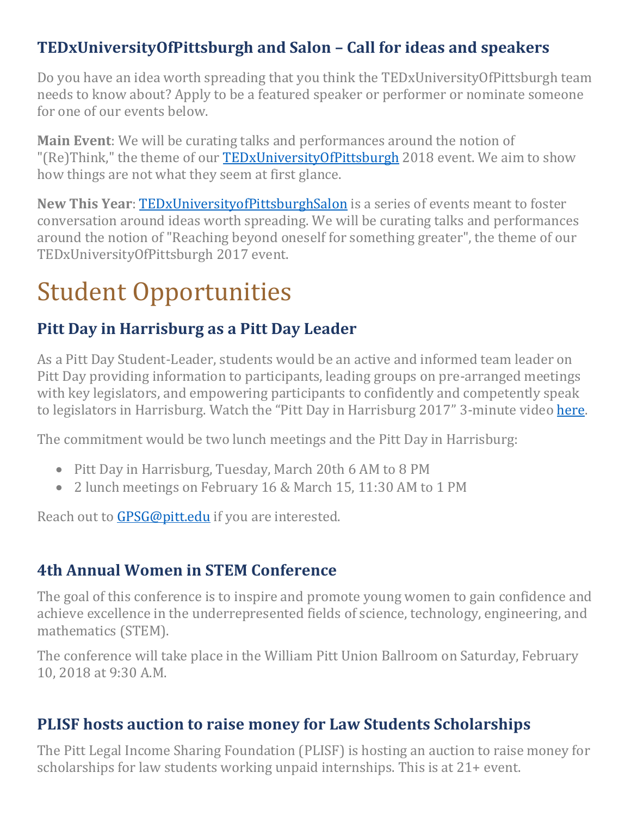### **TEDxUniversityOfPittsburgh and Salon – Call for ideas and speakers**

Do you have an idea worth spreading that you think the TEDxUniversityOfPittsburgh team needs to know about? Apply to be a featured speaker or performer or nominate someone for one of our events below.

**Main Event**: We will be curating talks and performances around the notion of "(Re)Think," the theme of our **TEDxUniversityOfPittsburgh** 2018 event. We aim to show how things are not what they seem at first glance.

**New This Year**: [TEDxUniversityofPittsburghSalon](https://goo.gl/PPcCig) is a series of events meant to foster conversation around ideas worth spreading. We will be curating talks and performances around the notion of "Reaching beyond oneself for something greater", the theme of our TEDxUniversityOfPittsburgh 2017 event.

# Student Opportunities

### **Pitt Day in Harrisburg as a Pitt Day Leader**

As a Pitt Day Student-Leader, students would be an active and informed team leader on Pitt Day providing information to participants, leading groups on pre-arranged meetings with key legislators, and empowering participants to confidently and competently speak to legislators in Harrisburg. Watch the "Pitt Day in Harrisburg 2017" 3-minute video [here.](https://youtu.be/l9lKa3oFGmM)

The commitment would be two lunch meetings and the Pitt Day in Harrisburg:

- Pitt Day in Harrisburg, Tuesday, March 20th 6 AM to 8 PM
- 2 lunch meetings on February 16 & March 15, 11:30 AM to 1 PM

Reach out to [GPSG@pitt.edu](mailto:GPSG@pitt.edu) if you are interested.

# **4th Annual Women in STEM Conference**

The goal of this conference is to inspire and promote young women to gain confidence and achieve excellence in the underrepresented fields of science, technology, engineering, and mathematics (STEM).

The conference will take place in the William Pitt Union Ballroom on Saturday, February 10, 2018 at 9:30 A.M.

### **PLISF hosts auction to raise money for Law Students Scholarships**

The Pitt Legal Income Sharing Foundation (PLISF) is hosting an auction to raise money for scholarships for law students working unpaid internships. This is at 21+ event.